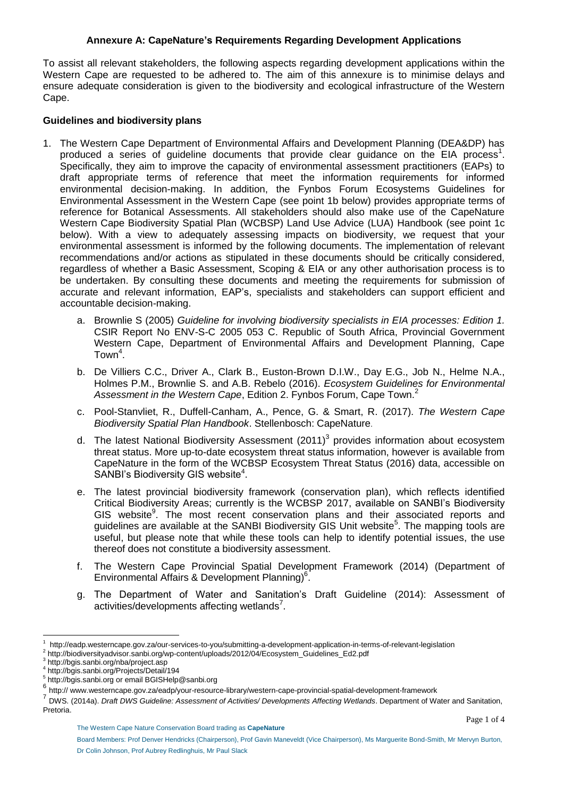## **Annexure A: CapeNature's Requirements Regarding Development Applications**

To assist all relevant stakeholders, the following aspects regarding development applications within the Western Cape are requested to be adhered to. The aim of this annexure is to minimise delays and ensure adequate consideration is given to the biodiversity and ecological infrastructure of the Western Cape.

### **Guidelines and biodiversity plans**

- 1. The Western Cape Department of Environmental Affairs and Development Planning (DEA&DP) has produced a series of guideline documents that provide clear guidance on the  $EIA$  process<sup>1</sup>. Specifically, they aim to improve the capacity of environmental assessment practitioners (EAPs) to draft appropriate terms of reference that meet the information requirements for informed environmental decision-making. In addition, the Fynbos Forum Ecosystems Guidelines for Environmental Assessment in the Western Cape (see point 1b below) provides appropriate terms of reference for Botanical Assessments. All stakeholders should also make use of the CapeNature Western Cape Biodiversity Spatial Plan (WCBSP) Land Use Advice (LUA) Handbook (see point 1c below). With a view to adequately assessing impacts on biodiversity, we request that your environmental assessment is informed by the following documents. The implementation of relevant recommendations and/or actions as stipulated in these documents should be critically considered, regardless of whether a Basic Assessment, Scoping & EIA or any other authorisation process is to be undertaken. By consulting these documents and meeting the requirements for submission of accurate and relevant information, EAP's, specialists and stakeholders can support efficient and accountable decision-making.
	- a. Brownlie S (2005) *Guideline for involving biodiversity specialists in EIA processes: Edition 1.*  CSIR Report No ENV-S-C 2005 053 C. Republic of South Africa, Provincial Government Western Cape, Department of Environmental Affairs and Development Planning, Cape Town<sup>4</sup>.
	- b. De Villiers C.C., Driver A., Clark B., Euston-Brown D.I.W., Day E.G., Job N., Helme N.A., Holmes P.M., Brownlie S. and A.B. Rebelo (2016). *Ecosystem Guidelines for Environmental Assessment in the Western Cape*, Edition 2. Fynbos Forum, Cape Town.<sup>2</sup>
	- c. Pool-Stanvliet, R., Duffell-Canham, A., Pence, G. & Smart, R. (2017). *The Western Cape Biodiversity Spatial Plan Handbook*. Stellenbosch: CapeNature.
	- d. The latest National Biodiversity Assessment (2011)<sup>3</sup> provides information about ecosystem threat status. More up-to-date ecosystem threat status information, however is available from CapeNature in the form of the WCBSP Ecosystem Threat Status (2016) data, accessible on SANBI's Biodiversity GIS website<sup>4</sup>.
	- e. The latest provincial biodiversity framework (conservation plan), which reflects identified Critical Biodiversity Areas; currently is the WCBSP 2017, available on SANBI's Biodiversity GIS website<sup>9</sup>. The most recent conservation plans and their associated reports and guidelines are available at the SANBI Biodiversity GIS Unit website<sup>5</sup>. The mapping tools are useful, but please note that while these tools can help to identify potential issues, the use thereof does not constitute a biodiversity assessment.
	- f. The Western Cape Provincial Spatial Development Framework (2014) (Department of Environmental Affairs & Development Planning)<sup>6</sup>.
	- g. The Department of Water and Sanitation's Draft Guideline (2014): Assessment of activities/developments affecting wetlands $7$ .

3 http://bgis.sanbi.org/nba/project.asp

1

<sup>1</sup> http://eadp.westerncape.gov.za/our-services-to-you/submitting-a-development-application-in-terms-of-relevant-legislation

<sup>2</sup> http://biodiversityadvisor.sanbi.org/wp-content/uploads/2012/04/Ecosystem\_Guidelines\_Ed2.pdf

<sup>4</sup> http://bgis.sanbi.org/Projects/Detail/194

<sup>5</sup> http://bgis.sanbi.org or email BGISHelp@sanbi.org

<sup>6</sup> http:// www.westerncape.gov.za/eadp/your-resource-library/western-cape-provincial-spatial-development-framework

<sup>7</sup> DWS. (2014a). *Draft DWS Guideline: Assessment of Activities/ Developments Affecting Wetlands*. Department of Water and Sanitation, Pretoria.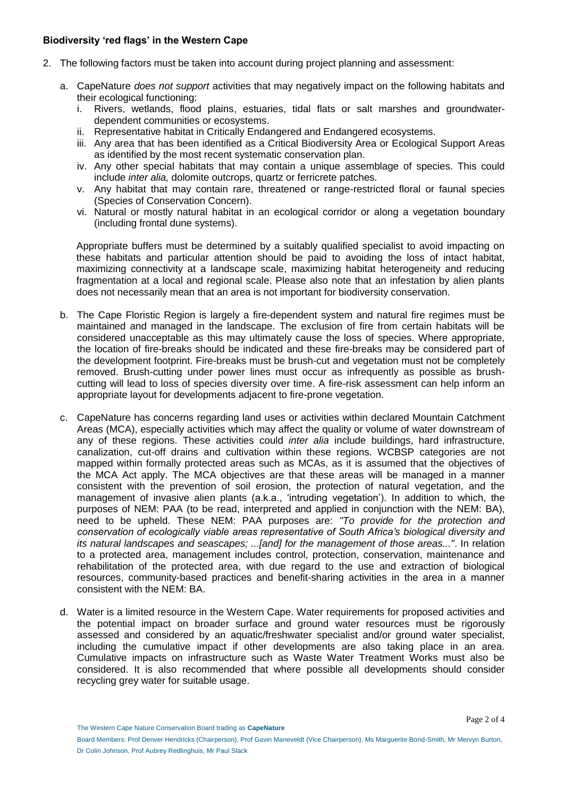## **Biodiversity 'red flags' in the Western Cape**

- 2. The following factors must be taken into account during project planning and assessment:
	- a. CapeNature *does not support* activities that may negatively impact on the following habitats and their ecological functioning:
		- i. Rivers, wetlands, flood plains, estuaries, tidal flats or salt marshes and groundwaterdependent communities or ecosystems.
		- ii. Representative habitat in Critically Endangered and Endangered ecosystems.
		- iii. Any area that has been identified as a Critical Biodiversity Area or Ecological Support Areas as identified by the most recent systematic conservation plan.
		- iv. Any other special habitats that may contain a unique assemblage of species. This could include *inter alia,* dolomite outcrops, quartz or ferricrete patches.
		- v. Any habitat that may contain rare, threatened or range-restricted floral or faunal species (Species of Conservation Concern).
		- vi. Natural or mostly natural habitat in an ecological corridor or along a vegetation boundary (including frontal dune systems).

Appropriate buffers must be determined by a suitably qualified specialist to avoid impacting on these habitats and particular attention should be paid to avoiding the loss of intact habitat, maximizing connectivity at a landscape scale, maximizing habitat heterogeneity and reducing fragmentation at a local and regional scale. Please also note that an infestation by alien plants does not necessarily mean that an area is not important for biodiversity conservation.

- b. The Cape Floristic Region is largely a fire-dependent system and natural fire regimes must be maintained and managed in the landscape. The exclusion of fire from certain habitats will be considered unacceptable as this may ultimately cause the loss of species. Where appropriate, the location of fire-breaks should be indicated and these fire-breaks may be considered part of the development footprint. Fire-breaks must be brush-cut and vegetation must not be completely removed. Brush-cutting under power lines must occur as infrequently as possible as brushcutting will lead to loss of species diversity over time. A fire-risk assessment can help inform an appropriate layout for developments adjacent to fire-prone vegetation.
- c. CapeNature has concerns regarding land uses or activities within declared Mountain Catchment Areas (MCA), especially activities which may affect the quality or volume of water downstream of any of these regions. These activities could *inter alia* include buildings, hard infrastructure, canalization, cut-off drains and cultivation within these regions. WCBSP categories are not mapped within formally protected areas such as MCAs, as it is assumed that the objectives of the MCA Act apply. The MCA objectives are that these areas will be managed in a manner consistent with the prevention of soil erosion, the protection of natural vegetation, and the management of invasive alien plants (a.k.a., 'intruding vegetation'). In addition to which, the purposes of NEM: PAA (to be read, interpreted and applied in conjunction with the NEM: BA), need to be upheld. These NEM: PAA purposes are: *"To provide for the protection and conservation of ecologically viable areas representative of South Africa's biological diversity and its natural landscapes and seascapes; ...[and] for the management of those areas..."*. In relation to a protected area, management includes control, protection, conservation, maintenance and rehabilitation of the protected area, with due regard to the use and extraction of biological resources, community-based practices and benefit-sharing activities in the area in a manner consistent with the NEM: BA.
- d. Water is a limited resource in the Western Cape. Water requirements for proposed activities and the potential impact on broader surface and ground water resources must be rigorously assessed and considered by an aquatic/freshwater specialist and/or ground water specialist, including the cumulative impact if other developments are also taking place in an area. Cumulative impacts on infrastructure such as Waste Water Treatment Works must also be considered. It is also recommended that where possible all developments should consider recycling grey water for suitable usage.

Board Members: Prof Denver Hendricks (Chairperson), Prof Gavin Maneveldt (Vice Chairperson), Ms Marguerite Bond-Smith, Mr Mervyn Burton, Dr Colin Johnson, Prof Aubrey Redlinghuis, Mr Paul Slack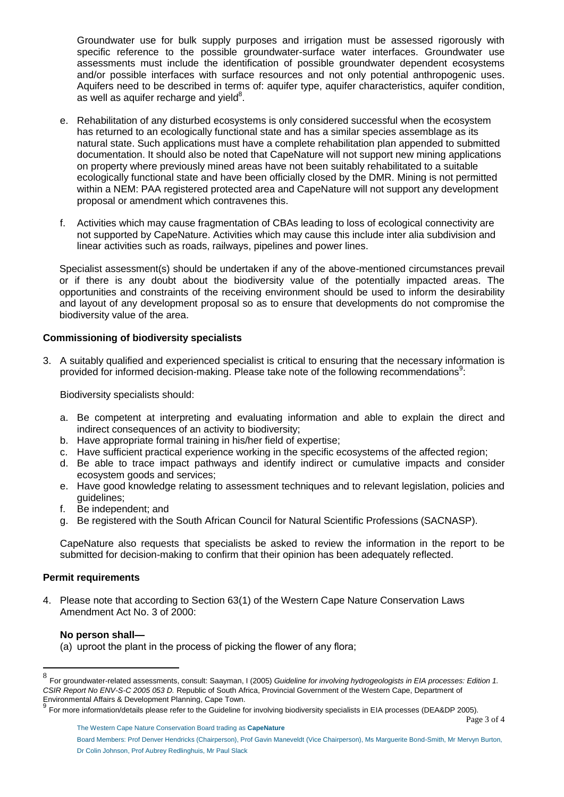Groundwater use for bulk supply purposes and irrigation must be assessed rigorously with specific reference to the possible groundwater-surface water interfaces. Groundwater use assessments must include the identification of possible groundwater dependent ecosystems and/or possible interfaces with surface resources and not only potential anthropogenic uses. Aquifers need to be described in terms of: aquifer type, aquifer characteristics, aquifer condition, as well as aquifer recharge and yield $8$ .

- e. Rehabilitation of any disturbed ecosystems is only considered successful when the ecosystem has returned to an ecologically functional state and has a similar species assemblage as its natural state. Such applications must have a complete rehabilitation plan appended to submitted documentation. It should also be noted that CapeNature will not support new mining applications on property where previously mined areas have not been suitably rehabilitated to a suitable ecologically functional state and have been officially closed by the DMR. Mining is not permitted within a NEM: PAA registered protected area and CapeNature will not support any development proposal or amendment which contravenes this.
- f. Activities which may cause fragmentation of CBAs leading to loss of ecological connectivity are not supported by CapeNature. Activities which may cause this include inter alia subdivision and linear activities such as roads, railways, pipelines and power lines.

Specialist assessment(s) should be undertaken if any of the above-mentioned circumstances prevail or if there is any doubt about the biodiversity value of the potentially impacted areas. The opportunities and constraints of the receiving environment should be used to inform the desirability and layout of any development proposal so as to ensure that developments do not compromise the biodiversity value of the area.

# **Commissioning of biodiversity specialists**

3. A suitably qualified and experienced specialist is critical to ensuring that the necessary information is provided for informed decision-making. Please take note of the following recommendations<sup>9</sup>:

Biodiversity specialists should:

- a. Be competent at interpreting and evaluating information and able to explain the direct and indirect consequences of an activity to biodiversity;
- b. Have appropriate formal training in his/her field of expertise;
- c. Have sufficient practical experience working in the specific ecosystems of the affected region;
- d. Be able to trace impact pathways and identify indirect or cumulative impacts and consider ecosystem goods and services;
- e. Have good knowledge relating to assessment techniques and to relevant legislation, policies and guidelines;
- f. Be independent; and
- g. Be registered with the South African Council for Natural Scientific Professions (SACNASP).

CapeNature also requests that specialists be asked to review the information in the report to be submitted for decision-making to confirm that their opinion has been adequately reflected.

### **Permit requirements**

4. Please note that according to Section 63(1) of the Western Cape Nature Conservation Laws Amendment Act No. 3 of 2000:

#### **No person shall—**

1

(a) uproot the plant in the process of picking the flower of any flora;

<sup>8</sup> For groundwater-related assessments, consult: Saayman, I (2005) *Guideline for involving hydrogeologists in EIA processes: Edition 1. CSIR Report No ENV-S-C 2005 053 D.* Republic of South Africa, Provincial Government of the Western Cape, Department of Environmental Affairs & Development Planning, Cape Town.

<sup>9</sup> For more information/details please refer to the Guideline for involving biodiversity specialists in EIA processes (DEA&DP 2005).